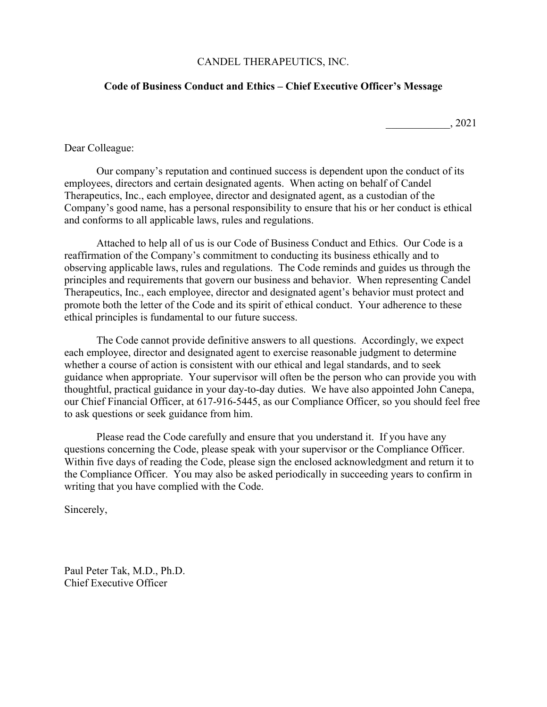### CANDEL THERAPEUTICS, INC.

#### **Code of Business Conduct and Ethics – Chief Executive Officer's Message**

\_\_\_\_\_\_\_\_\_\_\_\_, 2021

Dear Colleague:

Our company's reputation and continued success is dependent upon the conduct of its employees, directors and certain designated agents. When acting on behalf of Candel Therapeutics, Inc., each employee, director and designated agent, as a custodian of the Company's good name, has a personal responsibility to ensure that his or her conduct is ethical and conforms to all applicable laws, rules and regulations.

Attached to help all of us is our Code of Business Conduct and Ethics. Our Code is a reaffirmation of the Company's commitment to conducting its business ethically and to observing applicable laws, rules and regulations. The Code reminds and guides us through the principles and requirements that govern our business and behavior. When representing Candel Therapeutics, Inc., each employee, director and designated agent's behavior must protect and promote both the letter of the Code and its spirit of ethical conduct. Your adherence to these ethical principles is fundamental to our future success.

The Code cannot provide definitive answers to all questions. Accordingly, we expect each employee, director and designated agent to exercise reasonable judgment to determine whether a course of action is consistent with our ethical and legal standards, and to seek guidance when appropriate. Your supervisor will often be the person who can provide you with thoughtful, practical guidance in your day-to-day duties. We have also appointed John Canepa, our Chief Financial Officer, at 617-916-5445, as our Compliance Officer, so you should feel free to ask questions or seek guidance from him.

Please read the Code carefully and ensure that you understand it. If you have any questions concerning the Code, please speak with your supervisor or the Compliance Officer. Within five days of reading the Code, please sign the enclosed acknowledgment and return it to the Compliance Officer. You may also be asked periodically in succeeding years to confirm in writing that you have complied with the Code.

Sincerely,

Paul Peter Tak, M.D., Ph.D. Chief Executive Officer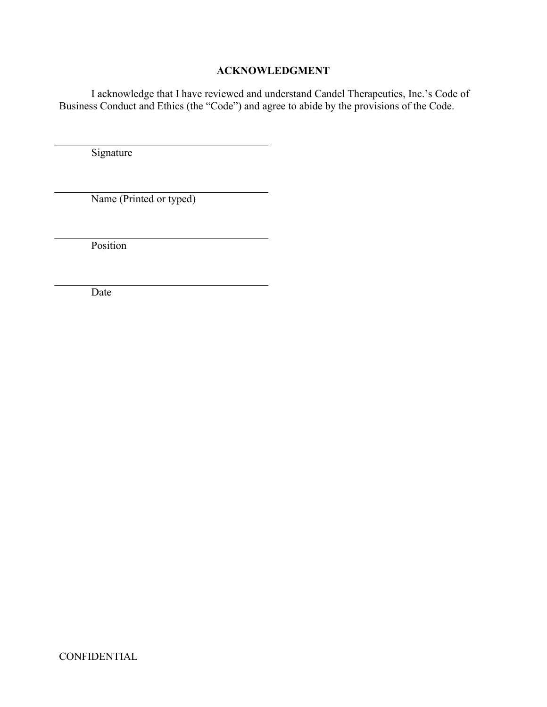# **ACKNOWLEDGMENT**

I acknowledge that I have reviewed and understand Candel Therapeutics, Inc.'s Code of Business Conduct and Ethics (the "Code") and agree to abide by the provisions of the Code.

Signature

Name (Printed or typed)

Position

Date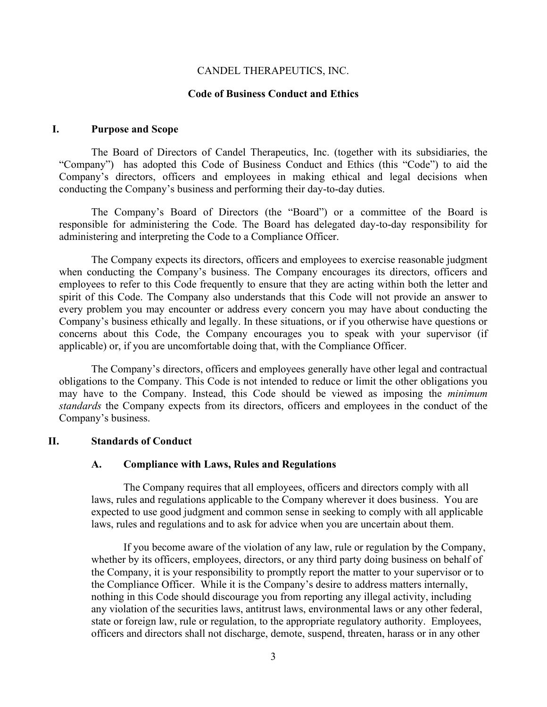#### CANDEL THERAPEUTICS, INC.

#### **Code of Business Conduct and Ethics**

#### **I. Purpose and Scope**

The Board of Directors of Candel Therapeutics, Inc. (together with its subsidiaries, the "Company") has adopted this Code of Business Conduct and Ethics (this "Code") to aid the Company's directors, officers and employees in making ethical and legal decisions when conducting the Company's business and performing their day-to-day duties.

The Company's Board of Directors (the "Board") or a committee of the Board is responsible for administering the Code. The Board has delegated day-to-day responsibility for administering and interpreting the Code to a Compliance Officer.

The Company expects its directors, officers and employees to exercise reasonable judgment when conducting the Company's business. The Company encourages its directors, officers and employees to refer to this Code frequently to ensure that they are acting within both the letter and spirit of this Code. The Company also understands that this Code will not provide an answer to every problem you may encounter or address every concern you may have about conducting the Company's business ethically and legally. In these situations, or if you otherwise have questions or concerns about this Code, the Company encourages you to speak with your supervisor (if applicable) or, if you are uncomfortable doing that, with the Compliance Officer.

The Company's directors, officers and employees generally have other legal and contractual obligations to the Company. This Code is not intended to reduce or limit the other obligations you may have to the Company. Instead, this Code should be viewed as imposing the *minimum standards* the Company expects from its directors, officers and employees in the conduct of the Company's business.

#### **II. Standards of Conduct**

#### **A. Compliance with Laws, Rules and Regulations**

The Company requires that all employees, officers and directors comply with all laws, rules and regulations applicable to the Company wherever it does business. You are expected to use good judgment and common sense in seeking to comply with all applicable laws, rules and regulations and to ask for advice when you are uncertain about them.

If you become aware of the violation of any law, rule or regulation by the Company, whether by its officers, employees, directors, or any third party doing business on behalf of the Company, it is your responsibility to promptly report the matter to your supervisor or to the Compliance Officer. While it is the Company's desire to address matters internally, nothing in this Code should discourage you from reporting any illegal activity, including any violation of the securities laws, antitrust laws, environmental laws or any other federal, state or foreign law, rule or regulation, to the appropriate regulatory authority. Employees, officers and directors shall not discharge, demote, suspend, threaten, harass or in any other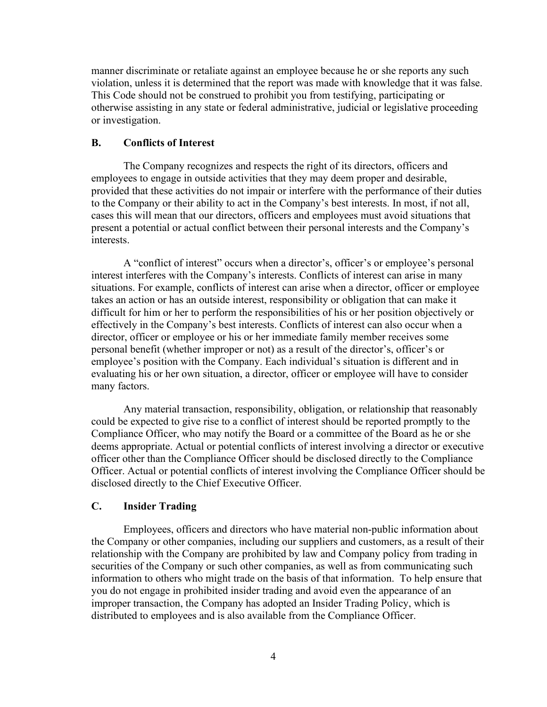manner discriminate or retaliate against an employee because he or she reports any such violation, unless it is determined that the report was made with knowledge that it was false. This Code should not be construed to prohibit you from testifying, participating or otherwise assisting in any state or federal administrative, judicial or legislative proceeding or investigation.

### **B. Conflicts of Interest**

The Company recognizes and respects the right of its directors, officers and employees to engage in outside activities that they may deem proper and desirable, provided that these activities do not impair or interfere with the performance of their duties to the Company or their ability to act in the Company's best interests. In most, if not all, cases this will mean that our directors, officers and employees must avoid situations that present a potential or actual conflict between their personal interests and the Company's interests.

A "conflict of interest" occurs when a director's, officer's or employee's personal interest interferes with the Company's interests. Conflicts of interest can arise in many situations. For example, conflicts of interest can arise when a director, officer or employee takes an action or has an outside interest, responsibility or obligation that can make it difficult for him or her to perform the responsibilities of his or her position objectively or effectively in the Company's best interests. Conflicts of interest can also occur when a director, officer or employee or his or her immediate family member receives some personal benefit (whether improper or not) as a result of the director's, officer's or employee's position with the Company. Each individual's situation is different and in evaluating his or her own situation, a director, officer or employee will have to consider many factors.

Any material transaction, responsibility, obligation, or relationship that reasonably could be expected to give rise to a conflict of interest should be reported promptly to the Compliance Officer, who may notify the Board or a committee of the Board as he or she deems appropriate. Actual or potential conflicts of interest involving a director or executive officer other than the Compliance Officer should be disclosed directly to the Compliance Officer. Actual or potential conflicts of interest involving the Compliance Officer should be disclosed directly to the Chief Executive Officer.

### **C. Insider Trading**

Employees, officers and directors who have material non-public information about the Company or other companies, including our suppliers and customers, as a result of their relationship with the Company are prohibited by law and Company policy from trading in securities of the Company or such other companies, as well as from communicating such information to others who might trade on the basis of that information. To help ensure that you do not engage in prohibited insider trading and avoid even the appearance of an improper transaction, the Company has adopted an Insider Trading Policy, which is distributed to employees and is also available from the Compliance Officer.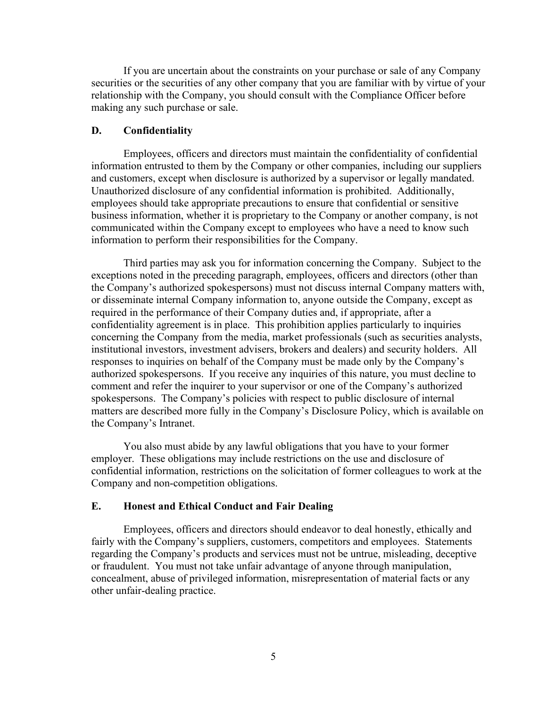If you are uncertain about the constraints on your purchase or sale of any Company securities or the securities of any other company that you are familiar with by virtue of your relationship with the Company, you should consult with the Compliance Officer before making any such purchase or sale.

#### **D. Confidentiality**

Employees, officers and directors must maintain the confidentiality of confidential information entrusted to them by the Company or other companies, including our suppliers and customers, except when disclosure is authorized by a supervisor or legally mandated. Unauthorized disclosure of any confidential information is prohibited. Additionally, employees should take appropriate precautions to ensure that confidential or sensitive business information, whether it is proprietary to the Company or another company, is not communicated within the Company except to employees who have a need to know such information to perform their responsibilities for the Company.

Third parties may ask you for information concerning the Company. Subject to the exceptions noted in the preceding paragraph, employees, officers and directors (other than the Company's authorized spokespersons) must not discuss internal Company matters with, or disseminate internal Company information to, anyone outside the Company, except as required in the performance of their Company duties and, if appropriate, after a confidentiality agreement is in place. This prohibition applies particularly to inquiries concerning the Company from the media, market professionals (such as securities analysts, institutional investors, investment advisers, brokers and dealers) and security holders. All responses to inquiries on behalf of the Company must be made only by the Company's authorized spokespersons. If you receive any inquiries of this nature, you must decline to comment and refer the inquirer to your supervisor or one of the Company's authorized spokespersons. The Company's policies with respect to public disclosure of internal matters are described more fully in the Company's Disclosure Policy, which is available on the Company's Intranet.

You also must abide by any lawful obligations that you have to your former employer. These obligations may include restrictions on the use and disclosure of confidential information, restrictions on the solicitation of former colleagues to work at the Company and non-competition obligations.

#### **E. Honest and Ethical Conduct and Fair Dealing**

Employees, officers and directors should endeavor to deal honestly, ethically and fairly with the Company's suppliers, customers, competitors and employees. Statements regarding the Company's products and services must not be untrue, misleading, deceptive or fraudulent. You must not take unfair advantage of anyone through manipulation, concealment, abuse of privileged information, misrepresentation of material facts or any other unfair-dealing practice.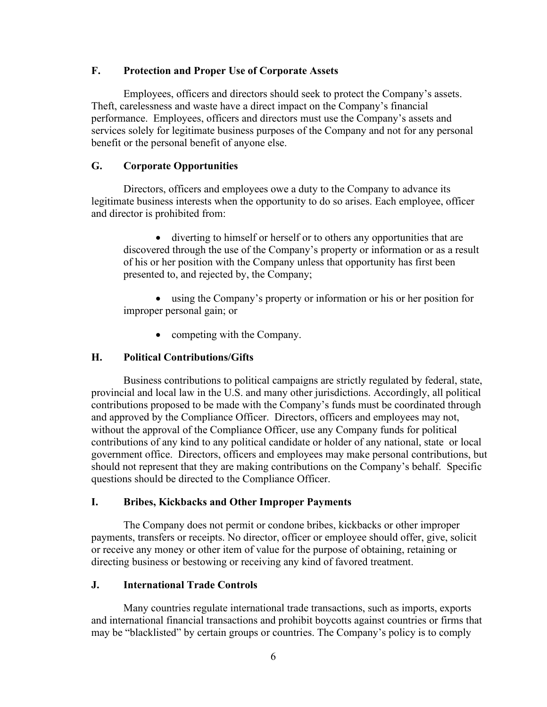### **F. Protection and Proper Use of Corporate Assets**

Employees, officers and directors should seek to protect the Company's assets. Theft, carelessness and waste have a direct impact on the Company's financial performance. Employees, officers and directors must use the Company's assets and services solely for legitimate business purposes of the Company and not for any personal benefit or the personal benefit of anyone else.

### **G. Corporate Opportunities**

Directors, officers and employees owe a duty to the Company to advance its legitimate business interests when the opportunity to do so arises. Each employee, officer and director is prohibited from:

• diverting to himself or herself or to others any opportunities that are discovered through the use of the Company's property or information or as a result of his or her position with the Company unless that opportunity has first been presented to, and rejected by, the Company;

• using the Company's property or information or his or her position for improper personal gain; or

• competing with the Company.

### **H. Political Contributions/Gifts**

Business contributions to political campaigns are strictly regulated by federal, state, provincial and local law in the U.S. and many other jurisdictions. Accordingly, all political contributions proposed to be made with the Company's funds must be coordinated through and approved by the Compliance Officer. Directors, officers and employees may not, without the approval of the Compliance Officer, use any Company funds for political contributions of any kind to any political candidate or holder of any national, state or local government office. Directors, officers and employees may make personal contributions, but should not represent that they are making contributions on the Company's behalf. Specific questions should be directed to the Compliance Officer.

#### **I. Bribes, Kickbacks and Other Improper Payments**

The Company does not permit or condone bribes, kickbacks or other improper payments, transfers or receipts. No director, officer or employee should offer, give, solicit or receive any money or other item of value for the purpose of obtaining, retaining or directing business or bestowing or receiving any kind of favored treatment.

#### **J. International Trade Controls**

Many countries regulate international trade transactions, such as imports, exports and international financial transactions and prohibit boycotts against countries or firms that may be "blacklisted" by certain groups or countries. The Company's policy is to comply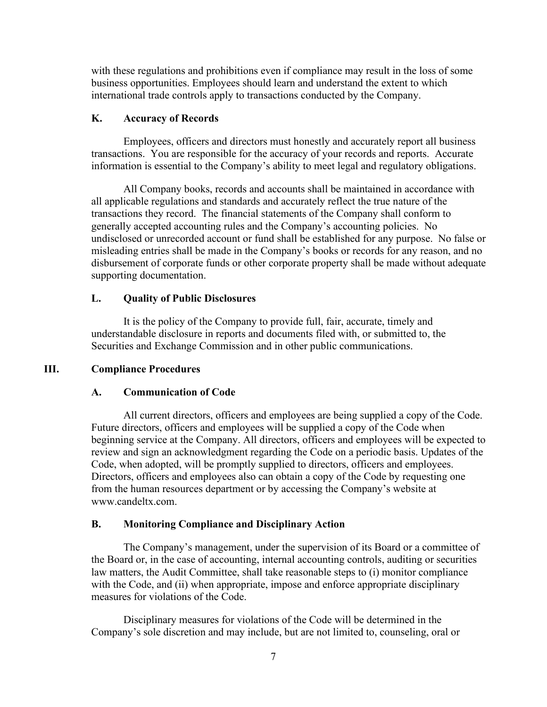with these regulations and prohibitions even if compliance may result in the loss of some business opportunities. Employees should learn and understand the extent to which international trade controls apply to transactions conducted by the Company.

## **K. Accuracy of Records**

Employees, officers and directors must honestly and accurately report all business transactions. You are responsible for the accuracy of your records and reports. Accurate information is essential to the Company's ability to meet legal and regulatory obligations.

All Company books, records and accounts shall be maintained in accordance with all applicable regulations and standards and accurately reflect the true nature of the transactions they record. The financial statements of the Company shall conform to generally accepted accounting rules and the Company's accounting policies. No undisclosed or unrecorded account or fund shall be established for any purpose. No false or misleading entries shall be made in the Company's books or records for any reason, and no disbursement of corporate funds or other corporate property shall be made without adequate supporting documentation.

# **L. Quality of Public Disclosures**

It is the policy of the Company to provide full, fair, accurate, timely and understandable disclosure in reports and documents filed with, or submitted to, the Securities and Exchange Commission and in other public communications.

### **III. Compliance Procedures**

### **A. Communication of Code**

All current directors, officers and employees are being supplied a copy of the Code. Future directors, officers and employees will be supplied a copy of the Code when beginning service at the Company. All directors, officers and employees will be expected to review and sign an acknowledgment regarding the Code on a periodic basis. Updates of the Code, when adopted, will be promptly supplied to directors, officers and employees. Directors, officers and employees also can obtain a copy of the Code by requesting one from the human resources department or by accessing the Company's website at www.candeltx.com.

### **B. Monitoring Compliance and Disciplinary Action**

The Company's management, under the supervision of its Board or a committee of the Board or, in the case of accounting, internal accounting controls, auditing or securities law matters, the Audit Committee, shall take reasonable steps to (i) monitor compliance with the Code, and (ii) when appropriate, impose and enforce appropriate disciplinary measures for violations of the Code.

Disciplinary measures for violations of the Code will be determined in the Company's sole discretion and may include, but are not limited to, counseling, oral or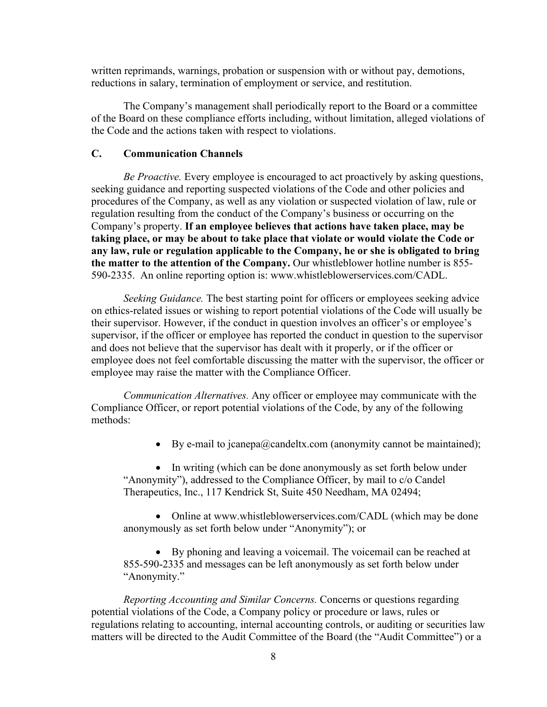written reprimands, warnings, probation or suspension with or without pay, demotions, reductions in salary, termination of employment or service, and restitution.

The Company's management shall periodically report to the Board or a committee of the Board on these compliance efforts including, without limitation, alleged violations of the Code and the actions taken with respect to violations.

### **C. Communication Channels**

*Be Proactive.* Every employee is encouraged to act proactively by asking questions, seeking guidance and reporting suspected violations of the Code and other policies and procedures of the Company, as well as any violation or suspected violation of law, rule or regulation resulting from the conduct of the Company's business or occurring on the Company's property. **If an employee believes that actions have taken place, may be taking place, or may be about to take place that violate or would violate the Code or any law, rule or regulation applicable to the Company, he or she is obligated to bring the matter to the attention of the Company.** Our whistleblower hotline number is 855- 590-2335. An online reporting option is: www.whistleblowerservices.com/CADL.

*Seeking Guidance.* The best starting point for officers or employees seeking advice on ethics-related issues or wishing to report potential violations of the Code will usually be their supervisor. However, if the conduct in question involves an officer's or employee's supervisor, if the officer or employee has reported the conduct in question to the supervisor and does not believe that the supervisor has dealt with it properly, or if the officer or employee does not feel comfortable discussing the matter with the supervisor, the officer or employee may raise the matter with the Compliance Officer.

*Communication Alternatives.* Any officer or employee may communicate with the Compliance Officer, or report potential violations of the Code, by any of the following methods:

• By e-mail to jcanepa@candeltx.com (anonymity cannot be maintained);

• In writing (which can be done anonymously as set forth below under "Anonymity"), addressed to the Compliance Officer, by mail to c/o Candel Therapeutics, Inc., 117 Kendrick St, Suite 450 Needham, MA 02494;

• Online at www.whistleblowerservices.com/CADL (which may be done anonymously as set forth below under "Anonymity"); or

• By phoning and leaving a voicemail. The voicemail can be reached at 855-590-2335 and messages can be left anonymously as set forth below under "Anonymity."

*Reporting Accounting and Similar Concerns.* Concerns or questions regarding potential violations of the Code, a Company policy or procedure or laws, rules or regulations relating to accounting, internal accounting controls, or auditing or securities law matters will be directed to the Audit Committee of the Board (the "Audit Committee") or a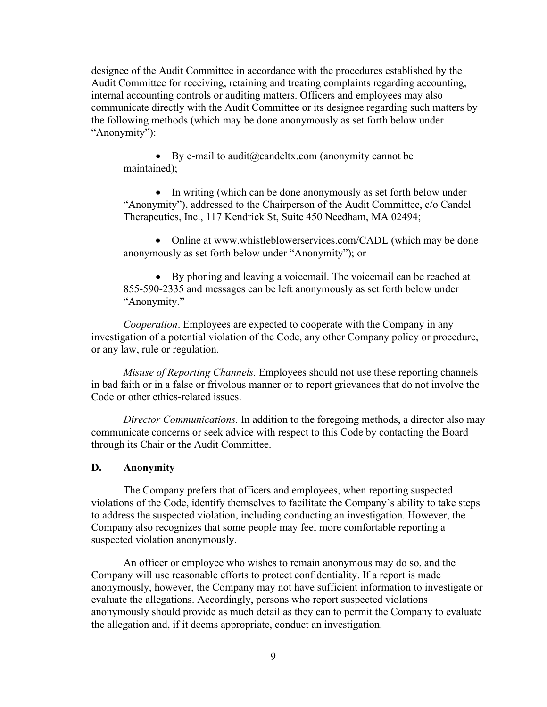designee of the Audit Committee in accordance with the procedures established by the Audit Committee for receiving, retaining and treating complaints regarding accounting, internal accounting controls or auditing matters. Officers and employees may also communicate directly with the Audit Committee or its designee regarding such matters by the following methods (which may be done anonymously as set forth below under "Anonymity"):

• By e-mail to audit $(\partial \text{candeltx.com}$  (anonymity cannot be maintained);

• In writing (which can be done anonymously as set forth below under "Anonymity"), addressed to the Chairperson of the Audit Committee, c/o Candel Therapeutics, Inc., 117 Kendrick St, Suite 450 Needham, MA 02494;

• Online at www.whistleblowerservices.com/CADL (which may be done anonymously as set forth below under "Anonymity"); or

• By phoning and leaving a voicemail. The voicemail can be reached at 855-590-2335 and messages can be left anonymously as set forth below under "Anonymity."

*Cooperation*. Employees are expected to cooperate with the Company in any investigation of a potential violation of the Code, any other Company policy or procedure, or any law, rule or regulation.

*Misuse of Reporting Channels.* Employees should not use these reporting channels in bad faith or in a false or frivolous manner or to report grievances that do not involve the Code or other ethics-related issues.

*Director Communications.* In addition to the foregoing methods, a director also may communicate concerns or seek advice with respect to this Code by contacting the Board through its Chair or the Audit Committee.

#### **D. Anonymity**

The Company prefers that officers and employees, when reporting suspected violations of the Code, identify themselves to facilitate the Company's ability to take steps to address the suspected violation, including conducting an investigation. However, the Company also recognizes that some people may feel more comfortable reporting a suspected violation anonymously.

An officer or employee who wishes to remain anonymous may do so, and the Company will use reasonable efforts to protect confidentiality. If a report is made anonymously, however, the Company may not have sufficient information to investigate or evaluate the allegations. Accordingly, persons who report suspected violations anonymously should provide as much detail as they can to permit the Company to evaluate the allegation and, if it deems appropriate, conduct an investigation.